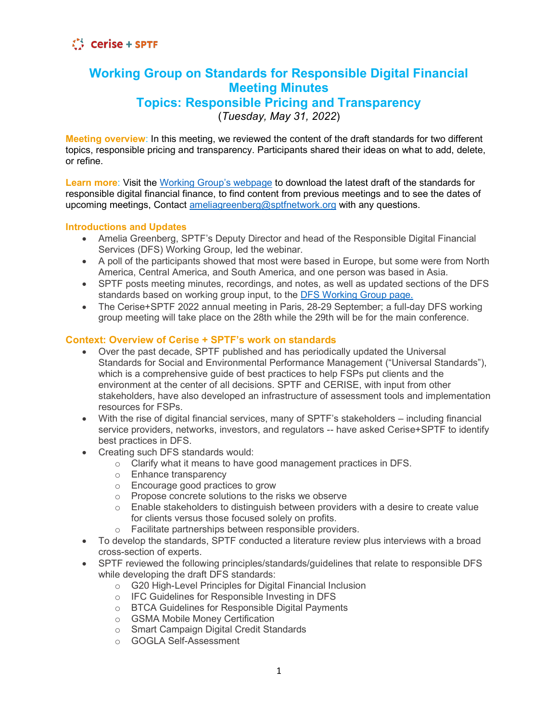### **Working Group on Standards for Responsible Digital Financial Meeting Minutes Topics: Responsible Pricing and Transparency**

(*Tuesday, May 31, 2022*)

**Meeting overview**: In this meeting, we reviewed the content of the draft standards for two different topics, responsible pricing and transparency. Participants shared their ideas on what to add, delete, or refine.

**Learn more**: Visit the [Working Group's webpage](https://sptf.info/working-groups/dfs-standards) to download the latest draft of the standards for responsible digital financial finance, to find content from previous meetings and to see the dates of upcoming meetings, Contact [ameliagreenberg@sptfnetwork.org](mailto:ameliagreenberg@sptfnetwork.org) with any questions.

### **Introductions and Updates**

- Amelia Greenberg, SPTF's Deputy Director and head of the Responsible Digital Financial Services (DFS) Working Group, led the webinar.
- A poll of the participants showed that most were based in Europe, but some were from North America, Central America, and South America, and one person was based in Asia.
- SPTF posts meeting minutes, recordings, and notes, as well as updated sections of the DFS standards based on working group input, to the **DFS Working Group page.**
- The Cerise+SPTF 2022 annual meeting in Paris, 28-29 September; a full-day DFS working group meeting will take place on the 28th while the 29th will be for the main conference.

### **Context: Overview of Cerise + SPTF's work on standards**

- Over the past decade, SPTF published and has periodically updated the Universal Standards for Social and Environmental Performance Management ("Universal Standards"), which is a comprehensive guide of best practices to help FSPs put clients and the environment at the center of all decisions. SPTF and CERISE, with input from other stakeholders, have also developed an infrastructure of assessment tools and implementation resources for FSPs.
- With the rise of digital financial services, many of SPTF's stakeholders including financial service providers, networks, investors, and regulators -- have asked Cerise+SPTF to identify best practices in DFS.
- Creating such DFS standards would:
	- o Clarify what it means to have good management practices in DFS.
	- o Enhance transparency
	- o Encourage good practices to grow
	- o Propose concrete solutions to the risks we observe
	- $\circ$  Enable stakeholders to distinguish between providers with a desire to create value for clients versus those focused solely on profits.
	- o Facilitate partnerships between responsible providers.
- To develop the standards, SPTF conducted a literature review plus interviews with a broad cross-section of experts.
- SPTF reviewed the following principles/standards/guidelines that relate to responsible DFS while developing the draft DFS standards:
	- o G20 High-Level Principles for Digital Financial Inclusion
	- o IFC Guidelines for Responsible Investing in DFS
	- o BTCA Guidelines for Responsible Digital Payments
	- o GSMA Mobile Money Certification
	- o Smart Campaign Digital Credit Standards
	- o GOGLA Self-Assessment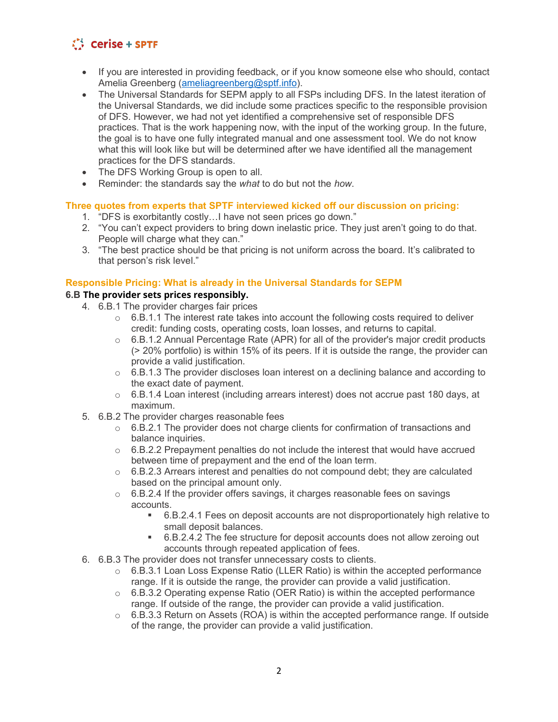- If you are interested in providing feedback, or if you know someone else who should, contact Amelia Greenberg [\(ameliagreenberg@sptf.info\)](mailto:ameliagreenberg@sptf.info).
- The Universal Standards for SEPM apply to all FSPs including DFS. In the latest iteration of the Universal Standards, we did include some practices specific to the responsible provision of DFS. However, we had not yet identified a comprehensive set of responsible DFS practices. That is the work happening now, with the input of the working group. In the future, the goal is to have one fully integrated manual and one assessment tool. We do not know what this will look like but will be determined after we have identified all the management practices for the DFS standards.
- The DFS Working Group is open to all.
- Reminder: the standards say the *what* to do but not the *how*.

### **Three quotes from experts that SPTF interviewed kicked off our discussion on pricing:**

- 1. "DFS is exorbitantly costly…I have not seen prices go down."
- 2. "You can't expect providers to bring down inelastic price. They just aren't going to do that. People will charge what they can."
- 3. "The best practice should be that pricing is not uniform across the board. It's calibrated to that person's risk level."

### **Responsible Pricing: What is already in the Universal Standards for SEPM**

### **6.B The provider sets prices responsibly.**

- 4. 6.B.1 The provider charges fair prices
	- $\circ$  6.B.1.1 The interest rate takes into account the following costs required to deliver credit: funding costs, operating costs, loan losses, and returns to capital.
	- $\circ$  6.B.1.2 Annual Percentage Rate (APR) for all of the provider's major credit products (> 20% portfolio) is within 15% of its peers. If it is outside the range, the provider can provide a valid justification.
	- $\circ$  6.B.1.3 The provider discloses loan interest on a declining balance and according to the exact date of payment.
	- $\circ$  6.B.1.4 Loan interest (including arrears interest) does not accrue past 180 days, at maximum.
- 5. 6.B.2 The provider charges reasonable fees
	- $\circ$  6.B.2.1 The provider does not charge clients for confirmation of transactions and balance inquiries.
	- $\circ$  6.B.2.2 Prepayment penalties do not include the interest that would have accrued between time of prepayment and the end of the loan term.
	- $\circ$  6.B.2.3 Arrears interest and penalties do not compound debt; they are calculated based on the principal amount only.
	- $\circ$  6.B.2.4 If the provider offers savings, it charges reasonable fees on savings accounts.
		- 6.B.2.4.1 Fees on deposit accounts are not disproportionately high relative to small deposit balances.
		- 6.B.2.4.2 The fee structure for deposit accounts does not allow zeroing out accounts through repeated application of fees.
- 6. 6.B.3 The provider does not transfer unnecessary costs to clients.
	- $\circ$  6.B.3.1 Loan Loss Expense Ratio (LLER Ratio) is within the accepted performance range. If it is outside the range, the provider can provide a valid justification.
	- $\circ$  6.B.3.2 Operating expense Ratio (OER Ratio) is within the accepted performance range. If outside of the range, the provider can provide a valid justification.
	- $\circ$  6.B.3.3 Return on Assets (ROA) is within the accepted performance range. If outside of the range, the provider can provide a valid justification.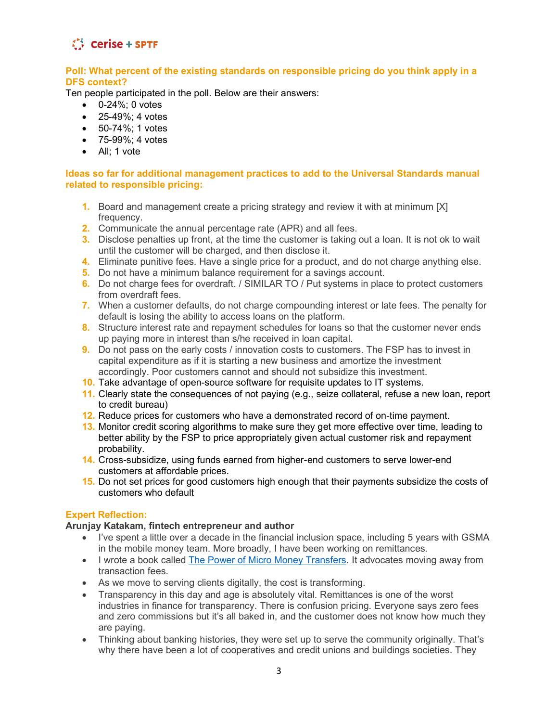

### **Poll: What percent of the existing standards on responsible pricing do you think apply in a DFS context?**

Ten people participated in the poll. Below are their answers:

- 0-24%; 0 votes
- 25-49%: 4 votes
- 50-74%; 1 votes
- 75-99%; 4 votes
- All; 1 vote

#### **Ideas so far for additional management practices to add to the Universal Standards manual related to responsible pricing:**

- **1.** Board and management create a pricing strategy and review it with at minimum [X] frequency.
- **2.** Communicate the annual percentage rate (APR) and all fees.
- **3.** Disclose penalties up front, at the time the customer is taking out a loan. It is not ok to wait until the customer will be charged, and then disclose it.
- **4.** Eliminate punitive fees. Have a single price for a product, and do not charge anything else.
- **5.** Do not have a minimum balance requirement for a savings account.
- **6.** Do not charge fees for overdraft. / SIMILAR TO / Put systems in place to protect customers from overdraft fees.
- **7.** When a customer defaults, do not charge compounding interest or late fees. The penalty for default is losing the ability to access loans on the platform.
- **8.** Structure interest rate and repayment schedules for loans so that the customer never ends up paying more in interest than s/he received in loan capital.
- **9.** Do not pass on the early costs *l* innovation costs to customers. The FSP has to invest in capital expenditure as if it is starting a new business and amortize the investment accordingly. Poor customers cannot and should not subsidize this investment.
- **10.** Take advantage of open-source software for requisite updates to IT systems.
- **11.** Clearly state the consequences of not paying (e.g., seize collateral, refuse a new loan, report to credit bureau)
- **12.** Reduce prices for customers who have a demonstrated record of on-time payment.
- **13.** Monitor credit scoring algorithms to make sure they get more effective over time, leading to better ability by the FSP to price appropriately given actual customer risk and repayment probability.
- **14.** Cross-subsidize, using funds earned from higher-end customers to serve lower-end customers at affordable prices.
- **15.** Do not set prices for good customers high enough that their payments subsidize the costs of customers who default

#### **Expert Reflection:**

#### **Arunjay Katakam, fintech entrepreneur and author**

- I've spent a little over a decade in the financial inclusion space, including 5 years with GSMA in the mobile money team. More broadly, I have been working on remittances.
- I wrote a book called [The Power of Micro Money Transfers.](https://www.arunjay.com/resources) It advocates moving away from transaction fees.
- As we move to serving clients digitally, the cost is transforming.
- Transparency in this day and age is absolutely vital. Remittances is one of the worst industries in finance for transparency. There is confusion pricing. Everyone says zero fees and zero commissions but it's all baked in, and the customer does not know how much they are paying.
- Thinking about banking histories, they were set up to serve the community originally. That's why there have been a lot of cooperatives and credit unions and buildings societies. They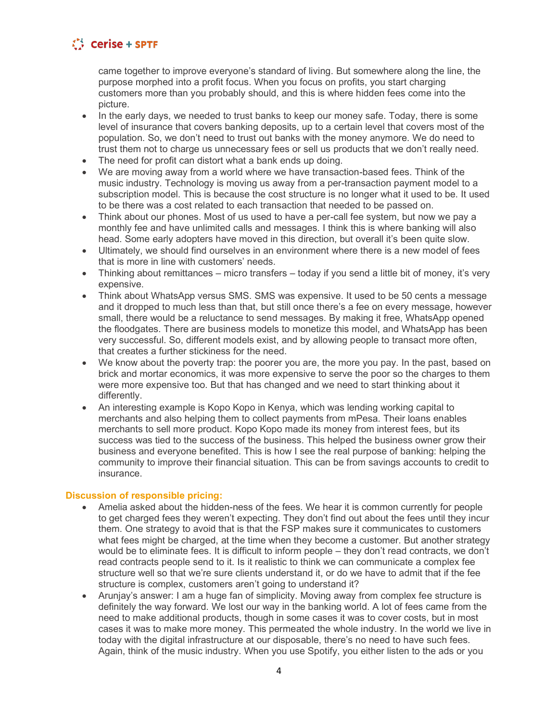came together to improve everyone's standard of living. But somewhere along the line, the purpose morphed into a profit focus. When you focus on profits, you start charging customers more than you probably should, and this is where hidden fees come into the picture.

- In the early days, we needed to trust banks to keep our money safe. Today, there is some level of insurance that covers banking deposits, up to a certain level that covers most of the population. So, we don't need to trust out banks with the money anymore. We do need to trust them not to charge us unnecessary fees or sell us products that we don't really need.
- The need for profit can distort what a bank ends up doing.
- We are moving away from a world where we have transaction-based fees. Think of the music industry. Technology is moving us away from a per-transaction payment model to a subscription model. This is because the cost structure is no longer what it used to be. It used to be there was a cost related to each transaction that needed to be passed on.
- Think about our phones. Most of us used to have a per-call fee system, but now we pay a monthly fee and have unlimited calls and messages. I think this is where banking will also head. Some early adopters have moved in this direction, but overall it's been quite slow.
- Ultimately, we should find ourselves in an environment where there is a new model of fees that is more in line with customers' needs.
- Thinking about remittances micro transfers today if you send a little bit of money, it's very expensive.
- Think about WhatsApp versus SMS. SMS was expensive. It used to be 50 cents a message and it dropped to much less than that, but still once there's a fee on every message, however small, there would be a reluctance to send messages. By making it free, WhatsApp opened the floodgates. There are business models to monetize this model, and WhatsApp has been very successful. So, different models exist, and by allowing people to transact more often, that creates a further stickiness for the need.
- We know about the poverty trap: the poorer you are, the more you pay. In the past, based on brick and mortar economics, it was more expensive to serve the poor so the charges to them were more expensive too. But that has changed and we need to start thinking about it differently.
- An interesting example is Kopo Kopo in Kenya, which was lending working capital to merchants and also helping them to collect payments from mPesa. Their loans enables merchants to sell more product. Kopo Kopo made its money from interest fees, but its success was tied to the success of the business. This helped the business owner grow their business and everyone benefited. This is how I see the real purpose of banking: helping the community to improve their financial situation. This can be from savings accounts to credit to insurance.

### **Discussion of responsible pricing:**

- Amelia asked about the hidden-ness of the fees. We hear it is common currently for people to get charged fees they weren't expecting. They don't find out about the fees until they incur them. One strategy to avoid that is that the FSP makes sure it communicates to customers what fees might be charged, at the time when they become a customer. But another strategy would be to eliminate fees. It is difficult to inform people – they don't read contracts, we don't read contracts people send to it. Is it realistic to think we can communicate a complex fee structure well so that we're sure clients understand it, or do we have to admit that if the fee structure is complex, customers aren't going to understand it?
- Arunjay's answer: I am a huge fan of simplicity. Moving away from complex fee structure is definitely the way forward. We lost our way in the banking world. A lot of fees came from the need to make additional products, though in some cases it was to cover costs, but in most cases it was to make more money. This permeated the whole industry. In the world we live in today with the digital infrastructure at our disposable, there's no need to have such fees. Again, think of the music industry. When you use Spotify, you either listen to the ads or you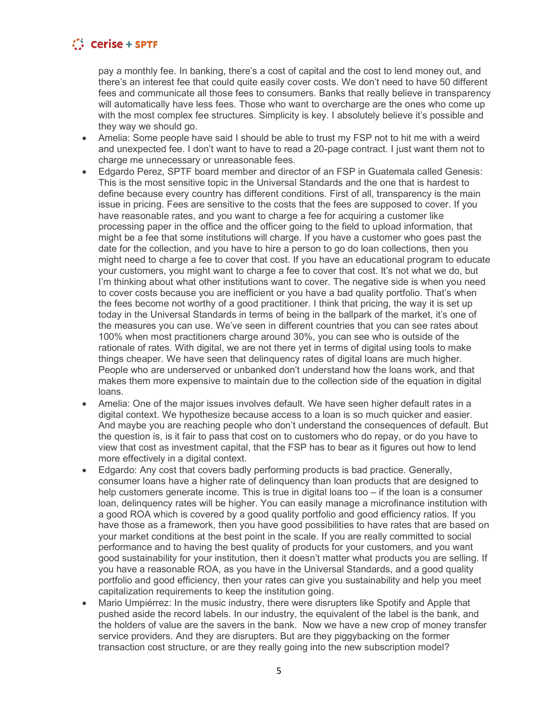pay a monthly fee. In banking, there's a cost of capital and the cost to lend money out, and there's an interest fee that could quite easily cover costs. We don't need to have 50 different fees and communicate all those fees to consumers. Banks that really believe in transparency will automatically have less fees. Those who want to overcharge are the ones who come up with the most complex fee structures. Simplicity is key. I absolutely believe it's possible and they way we should go.

- Amelia: Some people have said I should be able to trust my FSP not to hit me with a weird and unexpected fee. I don't want to have to read a 20-page contract. I just want them not to charge me unnecessary or unreasonable fees.
- Edgardo Perez, SPTF board member and director of an FSP in Guatemala called Genesis: This is the most sensitive topic in the Universal Standards and the one that is hardest to define because every country has different conditions. First of all, transparency is the main issue in pricing. Fees are sensitive to the costs that the fees are supposed to cover. If you have reasonable rates, and you want to charge a fee for acquiring a customer like processing paper in the office and the officer going to the field to upload information, that might be a fee that some institutions will charge. If you have a customer who goes past the date for the collection, and you have to hire a person to go do loan collections, then you might need to charge a fee to cover that cost. If you have an educational program to educate your customers, you might want to charge a fee to cover that cost. It's not what we do, but I'm thinking about what other institutions want to cover. The negative side is when you need to cover costs because you are inefficient or you have a bad quality portfolio. That's when the fees become not worthy of a good practitioner. I think that pricing, the way it is set up today in the Universal Standards in terms of being in the ballpark of the market, it's one of the measures you can use. We've seen in different countries that you can see rates about 100% when most practitioners charge around 30%, you can see who is outside of the rationale of rates. With digital, we are not there yet in terms of digital using tools to make things cheaper. We have seen that delinquency rates of digital loans are much higher. People who are underserved or unbanked don't understand how the loans work, and that makes them more expensive to maintain due to the collection side of the equation in digital loans.
- Amelia: One of the major issues involves default. We have seen higher default rates in a digital context. We hypothesize because access to a loan is so much quicker and easier. And maybe you are reaching people who don't understand the consequences of default. But the question is, is it fair to pass that cost on to customers who do repay, or do you have to view that cost as investment capital, that the FSP has to bear as it figures out how to lend more effectively in a digital context.
- Edgardo: Any cost that covers badly performing products is bad practice. Generally, consumer loans have a higher rate of delinquency than loan products that are designed to help customers generate income. This is true in digital loans too – if the loan is a consumer loan, delinquency rates will be higher. You can easily manage a microfinance institution with a good ROA which is covered by a good quality portfolio and good efficiency ratios. If you have those as a framework, then you have good possibilities to have rates that are based on your market conditions at the best point in the scale. If you are really committed to social performance and to having the best quality of products for your customers, and you want good sustainability for your institution, then it doesn't matter what products you are selling. If you have a reasonable ROA, as you have in the Universal Standards, and a good quality portfolio and good efficiency, then your rates can give you sustainability and help you meet capitalization requirements to keep the institution going.
- Mario Umpiérrez: In the music industry, there were disrupters like Spotify and Apple that pushed aside the record labels. In our industry, the equivalent of the label is the bank, and the holders of value are the savers in the bank. Now we have a new crop of money transfer service providers. And they are disrupters. But are they piggybacking on the former transaction cost structure, or are they really going into the new subscription model?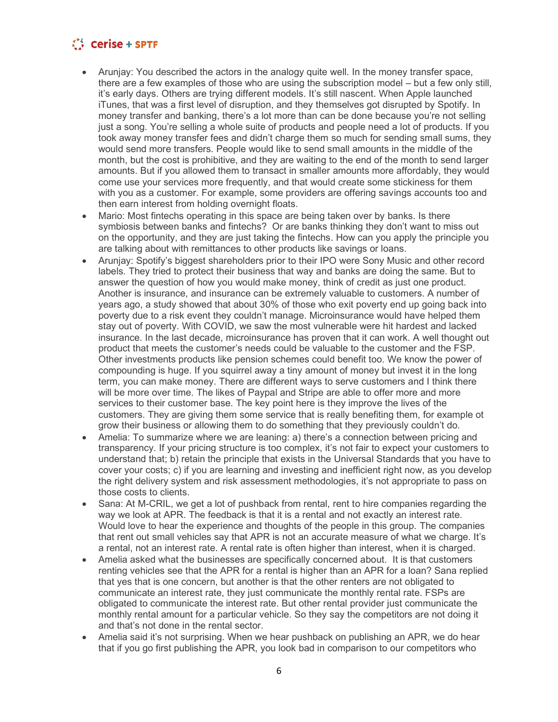- Aruniay: You described the actors in the analogy quite well. In the money transfer space, there are a few examples of those who are using the subscription model – but a few only still, it's early days. Others are trying different models. It's still nascent. When Apple launched iTunes, that was a first level of disruption, and they themselves got disrupted by Spotify. In money transfer and banking, there's a lot more than can be done because you're not selling just a song. You're selling a whole suite of products and people need a lot of products. If you took away money transfer fees and didn't charge them so much for sending small sums, they would send more transfers. People would like to send small amounts in the middle of the month, but the cost is prohibitive, and they are waiting to the end of the month to send larger amounts. But if you allowed them to transact in smaller amounts more affordably, they would come use your services more frequently, and that would create some stickiness for them with you as a customer. For example, some providers are offering savings accounts too and then earn interest from holding overnight floats.
- Mario: Most fintechs operating in this space are being taken over by banks. Is there symbiosis between banks and fintechs? Or are banks thinking they don't want to miss out on the opportunity, and they are just taking the fintechs. How can you apply the principle you are talking about with remittances to other products like savings or loans.
- Arunjay: Spotify's biggest shareholders prior to their IPO were Sony Music and other record labels. They tried to protect their business that way and banks are doing the same. But to answer the question of how you would make money, think of credit as just one product. Another is insurance, and insurance can be extremely valuable to customers. A number of years ago, a study showed that about 30% of those who exit poverty end up going back into poverty due to a risk event they couldn't manage. Microinsurance would have helped them stay out of poverty. With COVID, we saw the most vulnerable were hit hardest and lacked insurance. In the last decade, microinsurance has proven that it can work. A well thought out product that meets the customer's needs could be valuable to the customer and the FSP. Other investments products like pension schemes could benefit too. We know the power of compounding is huge. If you squirrel away a tiny amount of money but invest it in the long term, you can make money. There are different ways to serve customers and I think there will be more over time. The likes of Paypal and Stripe are able to offer more and more services to their customer base. The key point here is they improve the lives of the customers. They are giving them some service that is really benefiting them, for example ot grow their business or allowing them to do something that they previously couldn't do.
- Amelia: To summarize where we are leaning: a) there's a connection between pricing and transparency. If your pricing structure is too complex, it's not fair to expect your customers to understand that; b) retain the principle that exists in the Universal Standards that you have to cover your costs; c) if you are learning and investing and inefficient right now, as you develop the right delivery system and risk assessment methodologies, it's not appropriate to pass on those costs to clients.
- Sana: At M-CRIL, we get a lot of pushback from rental, rent to hire companies regarding the way we look at APR. The feedback is that it is a rental and not exactly an interest rate. Would love to hear the experience and thoughts of the people in this group. The companies that rent out small vehicles say that APR is not an accurate measure of what we charge. It's a rental, not an interest rate. A rental rate is often higher than interest, when it is charged.
- Amelia asked what the businesses are specifically concerned about. It is that customers renting vehicles see that the APR for a rental is higher than an APR for a loan? Sana replied that yes that is one concern, but another is that the other renters are not obligated to communicate an interest rate, they just communicate the monthly rental rate. FSPs are obligated to communicate the interest rate. But other rental provider just communicate the monthly rental amount for a particular vehicle. So they say the competitors are not doing it and that's not done in the rental sector.
- Amelia said it's not surprising. When we hear pushback on publishing an APR, we do hear that if you go first publishing the APR, you look bad in comparison to our competitors who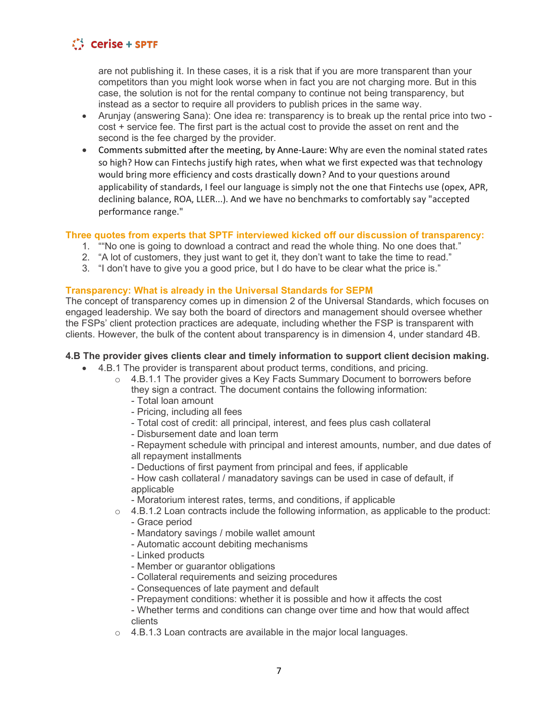are not publishing it. In these cases, it is a risk that if you are more transparent than your competitors than you might look worse when in fact you are not charging more. But in this case, the solution is not for the rental company to continue not being transparency, but instead as a sector to require all providers to publish prices in the same way.

- Arunjay (answering Sana): One idea re: transparency is to break up the rental price into two cost + service fee. The first part is the actual cost to provide the asset on rent and the second is the fee charged by the provider.
- Comments submitted after the meeting, by Anne-Laure: Why are even the nominal stated rates so high? How can Fintechs justify high rates, when what we first expected was that technology would bring more efficiency and costs drastically down? And to your questions around applicability of standards, I feel our language is simply not the one that Fintechs use (opex, APR, declining balance, ROA, LLER...). And we have no benchmarks to comfortably say "accepted performance range."

### **Three quotes from experts that SPTF interviewed kicked off our discussion of transparency:**

- 1. ""No one is going to download a contract and read the whole thing. No one does that."
- 2. "A lot of customers, they just want to get it, they don't want to take the time to read."
- 3. "I don't have to give you a good price, but I do have to be clear what the price is."

### **Transparency: What is already in the Universal Standards for SEPM**

The concept of transparency comes up in dimension 2 of the Universal Standards, which focuses on engaged leadership. We say both the board of directors and management should oversee whether the FSPs' client protection practices are adequate, including whether the FSP is transparent with clients. However, the bulk of the content about transparency is in dimension 4, under standard 4B.

### **4.B The provider gives clients clear and timely information to support client decision making.**

- 4.B.1 The provider is transparent about product terms, conditions, and pricing.
	- $\circ$  4.B.1.1 The provider gives a Key Facts Summary Document to borrowers before they sign a contract. The document contains the following information:
		- Total loan amount
		- Pricing, including all fees
		- Total cost of credit: all principal, interest, and fees plus cash collateral
		- Disbursement date and loan term

- Repayment schedule with principal and interest amounts, number, and due dates of all repayment installments

- Deductions of first payment from principal and fees, if applicable

- How cash collateral / manadatory savings can be used in case of default, if applicable

- Moratorium interest rates, terms, and conditions, if applicable
- o 4.B.1.2 Loan contracts include the following information, as applicable to the product: - Grace period
	- Mandatory savings / mobile wallet amount
	- Automatic account debiting mechanisms
	- Linked products
	- Member or guarantor obligations
	- Collateral requirements and seizing procedures
	- Consequences of late payment and default
	- Prepayment conditions: whether it is possible and how it affects the cost
	- Whether terms and conditions can change over time and how that would affect clients
- o 4.B.1.3 Loan contracts are available in the major local languages.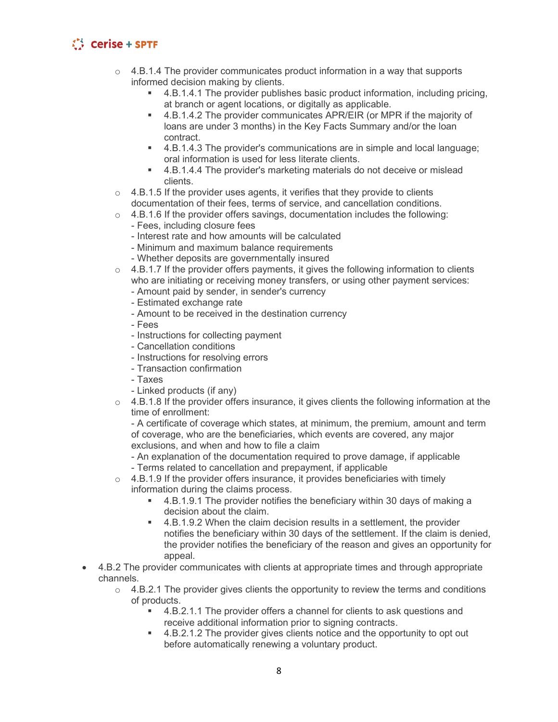- $\circ$  4.B.1.4 The provider communicates product information in a way that supports informed decision making by clients.
	- 4.B.1.4.1 The provider publishes basic product information, including pricing, at branch or agent locations, or digitally as applicable.
	- 4.B.1.4.2 The provider communicates APR/EIR (or MPR if the majority of loans are under 3 months) in the Key Facts Summary and/or the loan contract.
	- 4.B.1.4.3 The provider's communications are in simple and local language; oral information is used for less literate clients.
	- 4.B.1.4.4 The provider's marketing materials do not deceive or mislead clients.
- $\circ$  4.B.1.5 If the provider uses agents, it verifies that they provide to clients documentation of their fees, terms of service, and cancellation conditions.
- $\circ$  4.B.1.6 If the provider offers savings, documentation includes the following:
	- Fees, including closure fees
	- Interest rate and how amounts will be calculated
	- Minimum and maximum balance requirements
	- Whether deposits are governmentally insured
- $\circ$  4.B.1.7 If the provider offers payments, it gives the following information to clients who are initiating or receiving money transfers, or using other payment services:
	- Amount paid by sender, in sender's currency
	- Estimated exchange rate
	- Amount to be received in the destination currency
	- Fees
	- Instructions for collecting payment
	- Cancellation conditions
	- Instructions for resolving errors
	- Transaction confirmation
	- Taxes
	- Linked products (if any)
- $\circ$  4.B.1.8 If the provider offers insurance, it gives clients the following information at the time of enrollment:

- A certificate of coverage which states, at minimum, the premium, amount and term of coverage, who are the beneficiaries, which events are covered, any major exclusions, and when and how to file a claim

- An explanation of the documentation required to prove damage, if applicable - Terms related to cancellation and prepayment, if applicable
- $\circ$  4.B.1.9 If the provider offers insurance, it provides beneficiaries with timely
- information during the claims process.
	- 4.B.1.9.1 The provider notifies the beneficiary within 30 days of making a decision about the claim.
	- 4.B.1.9.2 When the claim decision results in a settlement, the provider notifies the beneficiary within 30 days of the settlement. If the claim is denied, the provider notifies the beneficiary of the reason and gives an opportunity for appeal.
- 4.B.2 The provider communicates with clients at appropriate times and through appropriate channels.
	- $\circ$  4.B.2.1 The provider gives clients the opportunity to review the terms and conditions of products.
		- 4.B.2.1.1 The provider offers a channel for clients to ask questions and receive additional information prior to signing contracts.
		- 4.B.2.1.2 The provider gives clients notice and the opportunity to opt out before automatically renewing a voluntary product.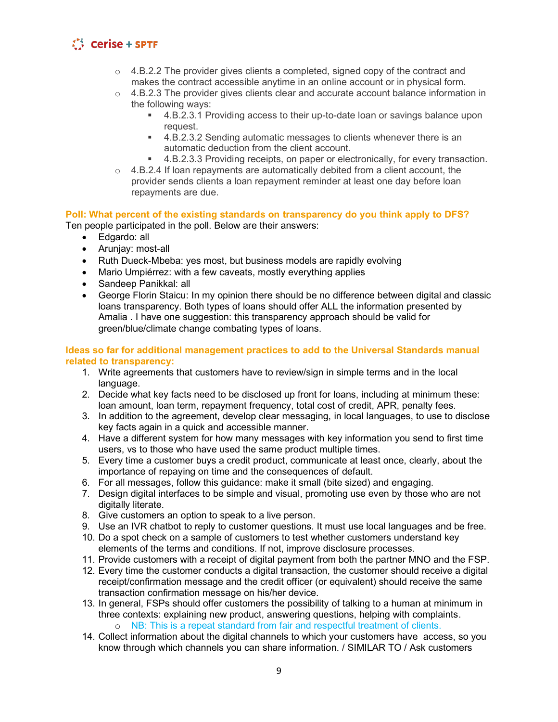- $\circ$  4.B.2.2 The provider gives clients a completed, signed copy of the contract and makes the contract accessible anytime in an online account or in physical form.
- $\circ$  4.B.2.3 The provider gives clients clear and accurate account balance information in the following ways:
	- 4.B.2.3.1 Providing access to their up-to-date loan or savings balance upon request.
	- 4.B.2.3.2 Sending automatic messages to clients whenever there is an automatic deduction from the client account.
	- 4.B.2.3.3 Providing receipts, on paper or electronically, for every transaction.
- $\circ$  4.B.2.4 If loan repayments are automatically debited from a client account, the provider sends clients a loan repayment reminder at least one day before loan repayments are due.

# **Poll: What percent of the existing standards on transparency do you think apply to DFS?**

Ten people participated in the poll. Below are their answers:

- Edgardo: all
	- Arunjay: most-all
	- Ruth Dueck-Mbeba: yes most, but business models are rapidly evolving
	- Mario Umpiérrez: with a few caveats, mostly everything applies
	- Sandeep Panikkal: all
	- George Florin Staicu: In my opinion there should be no difference between digital and classic loans transparency. Both types of loans should offer ALL the information presented by Amalia . I have one suggestion: this transparency approach should be valid for green/blue/climate change combating types of loans.

#### **Ideas so far for additional management practices to add to the Universal Standards manual related to transparency:**

- 1. Write agreements that customers have to review/sign in simple terms and in the local language.
- 2. Decide what key facts need to be disclosed up front for loans, including at minimum these: loan amount, loan term, repayment frequency, total cost of credit, APR, penalty fees.
- 3. In addition to the agreement, develop clear messaging, in local languages, to use to disclose key facts again in a quick and accessible manner.
- 4. Have a different system for how many messages with key information you send to first time users, vs to those who have used the same product multiple times.
- 5. Every time a customer buys a credit product, communicate at least once, clearly, about the importance of repaying on time and the consequences of default.
- 6. For all messages, follow this guidance: make it small (bite sized) and engaging.
- 7. Design digital interfaces to be simple and visual, promoting use even by those who are not digitally literate.
- 8. Give customers an option to speak to a live person.
- 9. Use an IVR chatbot to reply to customer questions. It must use local languages and be free.
- 10. Do a spot check on a sample of customers to test whether customers understand key elements of the terms and conditions. If not, improve disclosure processes.
- 11. Provide customers with a receipt of digital payment from both the partner MNO and the FSP.
- 12. Every time the customer conducts a digital transaction, the customer should receive a digital receipt/confirmation message and the credit officer (or equivalent) should receive the same transaction confirmation message on his/her device.
- 13. In general, FSPs should offer customers the possibility of talking to a human at minimum in three contexts: explaining new product, answering questions, helping with complaints. o NB: This is a repeat standard from fair and respectful treatment of clients.
- 14. Collect information about the digital channels to which your customers have access, so you know through which channels you can share information. / SIMILAR TO / Ask customers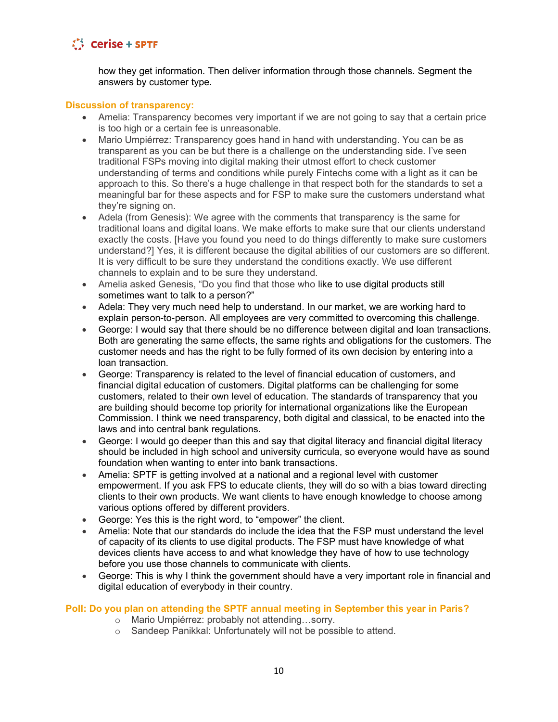

how they get information. Then deliver information through those channels. Segment the answers by customer type.

#### **Discussion of transparency:**

- Amelia: Transparency becomes very important if we are not going to say that a certain price is too high or a certain fee is unreasonable.
- Mario Umpiérrez: Transparency goes hand in hand with understanding. You can be as transparent as you can be but there is a challenge on the understanding side. I've seen traditional FSPs moving into digital making their utmost effort to check customer understanding of terms and conditions while purely Fintechs come with a light as it can be approach to this. So there's a huge challenge in that respect both for the standards to set a meaningful bar for these aspects and for FSP to make sure the customers understand what they're signing on.
- Adela (from Genesis): We agree with the comments that transparency is the same for traditional loans and digital loans. We make efforts to make sure that our clients understand exactly the costs. [Have you found you need to do things differently to make sure customers understand?] Yes, it is different because the digital abilities of our customers are so different. It is very difficult to be sure they understand the conditions exactly. We use different channels to explain and to be sure they understand.
- Amelia asked Genesis, "Do you find that those who like to use digital products still sometimes want to talk to a person?"
- Adela: They very much need help to understand. In our market, we are working hard to explain person-to-person. All employees are very committed to overcoming this challenge.
- George: I would say that there should be no difference between digital and loan transactions. Both are generating the same effects, the same rights and obligations for the customers. The customer needs and has the right to be fully formed of its own decision by entering into a loan transaction.
- George: Transparency is related to the level of financial education of customers, and financial digital education of customers. Digital platforms can be challenging for some customers, related to their own level of education. The standards of transparency that you are building should become top priority for international organizations like the European Commission. I think we need transparency, both digital and classical, to be enacted into the laws and into central bank regulations.
- George: I would go deeper than this and say that digital literacy and financial digital literacy should be included in high school and university curricula, so everyone would have as sound foundation when wanting to enter into bank transactions.
- Amelia: SPTF is getting involved at a national and a regional level with customer empowerment. If you ask FPS to educate clients, they will do so with a bias toward directing clients to their own products. We want clients to have enough knowledge to choose among various options offered by different providers.
- George: Yes this is the right word, to "empower" the client.
- Amelia: Note that our standards do include the idea that the FSP must understand the level of capacity of its clients to use digital products. The FSP must have knowledge of what devices clients have access to and what knowledge they have of how to use technology before you use those channels to communicate with clients.
- George: This is why I think the government should have a very important role in financial and digital education of everybody in their country.

### **Poll: Do you plan on attending the SPTF annual meeting in September this year in Paris?**

- o Mario Umpiérrez: probably not attending…sorry.
- o Sandeep Panikkal: Unfortunately will not be possible to attend.